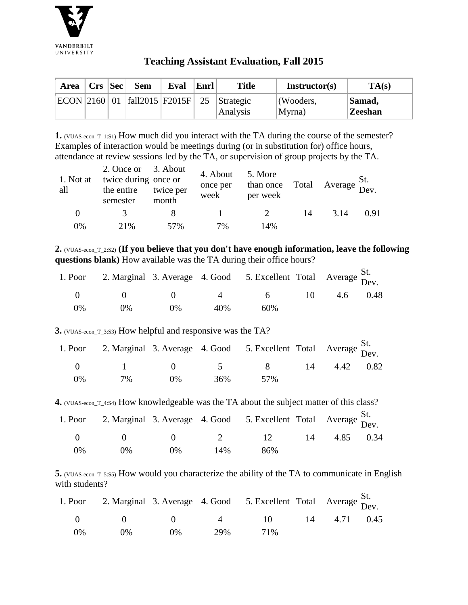

## **Teaching Assistant Evaluation, Fall 2015**

| Area   Crs   Sec |  | <b>Sem</b> | Eval | Enrl | <b>Title</b>                     | Instructor(s) | TA(s)    |
|------------------|--|------------|------|------|----------------------------------|---------------|----------|
| ECON 2160 01     |  |            |      |      | $ fall2015 F2015F $ 25 Strategic | (Wooders,     | Samad,   |
|                  |  |            |      |      | Analysis                         | Myrna)        | 'Zeeshan |

**1.** (VUAS-econ\_T\_1:S1) How much did you interact with the TA during the course of the semester? Examples of interaction would be meetings during (or in substitution for) office hours, attendance at review sessions led by the TA, or supervision of group projects by the TA.

| 1. Not at<br>all | 2. Once or 3. About<br>twice during once or<br>the entire<br>semester | twice per<br>month | 4. About<br>once per<br>week | 5. More<br>than once Total Average $\sum_{\text{Dev.}}$<br>per week |    |      | St.  |
|------------------|-----------------------------------------------------------------------|--------------------|------------------------------|---------------------------------------------------------------------|----|------|------|
| $\theta$         |                                                                       |                    |                              | $\overline{2}$                                                      | 14 | 3.14 | 0.91 |
| $0\%$            | 2.1%                                                                  | 57%                | 7%                           | 14%                                                                 |    |      |      |

**2.** (VUAS-econ\_T\_2:S2) **(If you believe that you don't have enough information, leave the following questions blank)** How available was the TA during their office hours?

|    |                                                                                  |                                                                |                | 1. Poor 2. Marginal 3. Average 4. Good 5. Excellent Total Average St. |        |          |
|----|----------------------------------------------------------------------------------|----------------------------------------------------------------|----------------|-----------------------------------------------------------------------|--------|----------|
|    | $\left( \begin{array}{ccc} 0 & \cdots & 0 \\ 0 & \cdots & 0 \end{array} \right)$ | $\left( \begin{array}{ccc} 1 & 1 \\ 1 & 1 \end{array} \right)$ | $\overline{4}$ | $6 \quad$                                                             | $10 -$ | 4.6 0.48 |
| 0% | $0\%$                                                                            | $0\%$                                                          | 40%            | 60%                                                                   |        |          |

**3.** (VUAS-econ\_T\_3:S3) How helpful and responsive was the TA?

|    |               |       |     | 1. Poor 2. Marginal 3. Average 4. Good 5. Excellent Total Average St. |              |  |
|----|---------------|-------|-----|-----------------------------------------------------------------------|--------------|--|
|    | $(1)$ 1 (1) 5 |       |     | $\mathbf{R}$                                                          | 14 4.42 0.82 |  |
| 0% | 7%            | $0\%$ | 36% | 57 <sub>%</sub>                                                       |              |  |

**4.** (VUAS-econ\_T\_4:S4) How knowledgeable was the TA about the subject matter of this class?

|    |         |       |        | 1. Poor 2. Marginal 3. Average 4. Good 5. Excellent Total Average $\frac{St}{Dev}$ . |    |           |  |
|----|---------|-------|--------|--------------------------------------------------------------------------------------|----|-----------|--|
|    |         |       |        | $0 \t 0 \t 0 \t 2 \t 12$                                                             | 14 | 4.85 0.34 |  |
| 0% | $( )\%$ | $0\%$ | $14\%$ | 86%                                                                                  |    |           |  |

**5.** (VUAS-econ\_T\_5:S5) How would you characterize the ability of the TA to communicate in English with students?

|            |       |       |     | 1. Poor 2. Marginal 3. Average 4. Good 5. Excellent Total Average St. |  |  |
|------------|-------|-------|-----|-----------------------------------------------------------------------|--|--|
|            |       |       |     | 0 	 0 	 0 	 4 	 10 	 14 	 4.71 	 0.45                                 |  |  |
| $\Omega\%$ | $0\%$ | $0\%$ | 29% | 71%                                                                   |  |  |